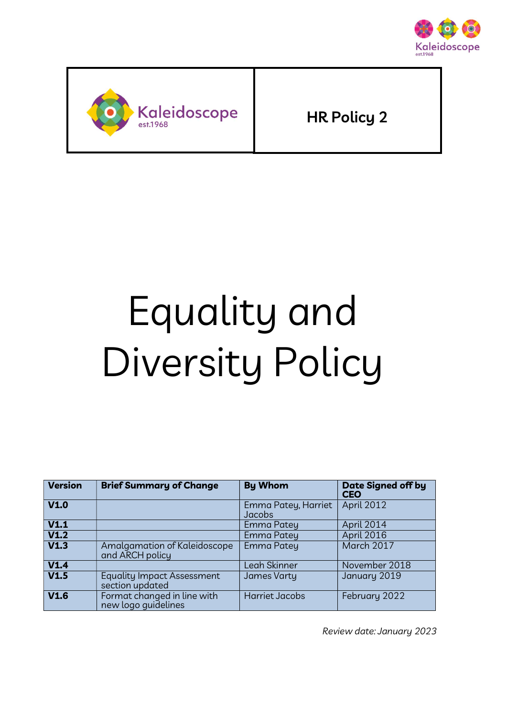



HR Policy 2

# Equality and Diversity Policy

| <b>Version</b> | <b>Brief Summary of Change</b>                       | <b>By Whom</b>                | <b>Date Signed off by</b><br><b>CEO</b> |
|----------------|------------------------------------------------------|-------------------------------|-----------------------------------------|
| V1.0           |                                                      | Emma Patey, Harriet<br>Jacobs | April 2012                              |
| V1.1           |                                                      | Emma Patey                    | April 2014                              |
| V1.2           |                                                      | Emma Patey                    | April 2016                              |
| V1.3           | Amalgamation of Kaleidoscope<br>and ARCH policy      | Emma Patey                    | March 2017                              |
| V1.4           |                                                      | Leah Skinner                  | November 2018                           |
| V1.5           | <b>Equality Impact Assessment</b><br>section updated | James Varty                   | January 2019                            |
| V1.6           | Format changed in line with<br>new logo quidelines   | <b>Harriet Jacobs</b>         | February 2022                           |

Review date: January 2023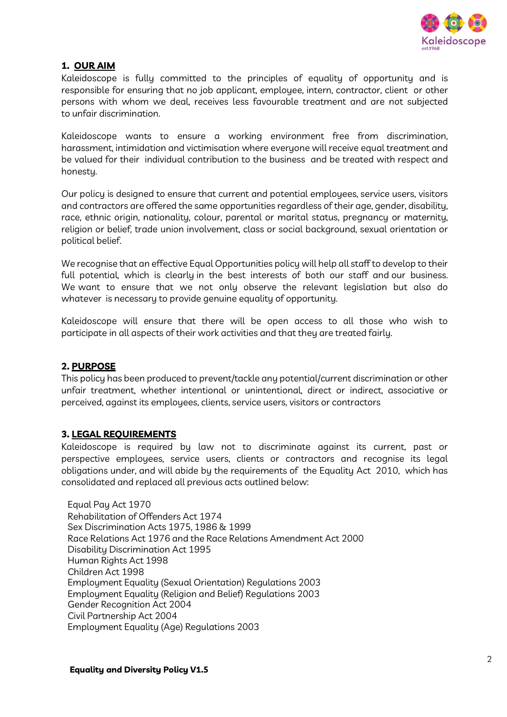

# 1. OUR AIM

Kaleidoscope is fully committed to the principles of equality of opportunity and is responsible for ensuring that no job applicant, employee, intern, contractor, client or other persons with whom we deal, receives less favourable treatment and are not subjected to unfair discrimination.

Kaleidoscope wants to ensure a working environment free from discrimination, harassment, intimidation and victimisation where everyone will receive equal treatment and be valued for their individual contribution to the business and be treated with respect and honesty.

Our policy is designed to ensure that current and potential employees, service users, visitors and contractors are offered the same opportunities regardless of their age, gender, disability, race, ethnic origin, nationality, colour, parental or marital status, pregnancy or maternity, religion or belief, trade union involvement, class or social background, sexual orientation or political belief.

We recognise that an effective Equal Opportunities policy will help all staff to develop to their full potential, which is clearly in the best interests of both our staff and our business. We want to ensure that we not only observe the relevant legislation but also do whatever is necessary to provide genuine equality of opportunity.

Kaleidoscope will ensure that there will be open access to all those who wish to participate in all aspects of their work activities and that they are treated fairly.

# 2. PURPOSE

This policy has been produced to prevent/tackle any potential/current discrimination or other unfair treatment, whether intentional or unintentional, direct or indirect, associative or perceived, against its employees, clients, service users, visitors or contractors

## 3. LEGAL REQUIREMENTS

Kaleidoscope is required by law not to discriminate against its current, past or perspective employees, service users, clients or contractors and recognise its legal obligations under, and will abide by the requirements of the Equality Act 2010, which has consolidated and replaced all previous acts outlined below:

 Equal Pay Act 1970 Rehabilitation of Offenders Act 1974 Sex Discrimination Acts 1975, 1986 & 1999 Race Relations Act 1976 and the Race Relations Amendment Act 2000 Disability Discrimination Act 1995 Human Rights Act 1998 Children Act 1998 Employment Equality (Sexual Orientation) Regulations 2003 Employment Equality (Religion and Belief) Regulations 2003 Gender Recognition Act 2004 Civil Partnership Act 2004 Employment Equality (Age) Regulations 2003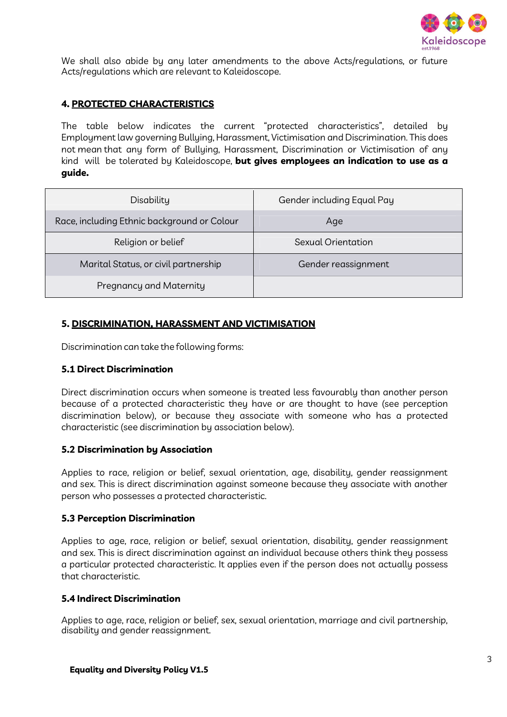

We shall also abide by any later amendments to the above Acts/regulations, or future Acts/regulations which are relevant to Kaleidoscope.

## 4. PROTECTED CHARACTERISTICS

The table below indicates the current "protected characteristics", detailed by Employment law governing Bullying, Harassment, Victimisation and Discrimination. This does not mean that any form of Bullying, Harassment, Discrimination or Victimisation of any kind will be tolerated by Kaleidoscope, but gives employees an indication to use as a guide.

| Disability                                  | Gender including Equal Pay |
|---------------------------------------------|----------------------------|
| Race, including Ethnic background or Colour | Age                        |
| Religion or belief                          | Sexual Orientation         |
| Marital Status, or civil partnership        | Gender reassignment        |
| Pregnancy and Maternity                     |                            |

## 5. DISCRIMINATION, HARASSMENT AND VICTIMISATION

Discrimination can take the following forms:

#### 5.1 Direct Discrimination

Direct discrimination occurs when someone is treated less favourably than another person because of a protected characteristic they have or are thought to have (see perception discrimination below), or because they associate with someone who has a protected characteristic (see discrimination by association below).

## 5.2 Discrimination by Association

Applies to race, religion or belief, sexual orientation, age, disability, gender reassignment and sex. This is direct discrimination against someone because they associate with another person who possesses a protected characteristic.

#### 5.3 Perception Discrimination

Applies to age, race, religion or belief, sexual orientation, disability, gender reassignment and sex. This is direct discrimination against an individual because others think they possess a particular protected characteristic. It applies even if the person does not actually possess that characteristic.

## 5.4 Indirect Discrimination

Applies to age, race, religion or belief, sex, sexual orientation, marriage and civil partnership, disability and gender reassignment.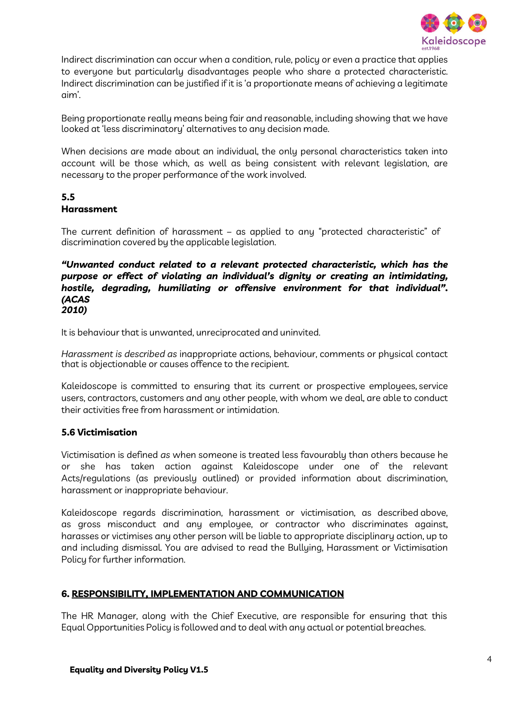

Indirect discrimination can occur when a condition, rule, policy or even a practice that applies to everyone but particularly disadvantages people who share a protected characteristic. Indirect discrimination can be justified if it is 'a proportionate means of achieving a legitimate aim'.

Being proportionate really means being fair and reasonable, including showing that we have looked at 'less discriminatory' alternatives to any decision made.

When decisions are made about an individual, the only personal characteristics taken into account will be those which, as well as being consistent with relevant legislation, are necessary to the proper performance of the work involved.

## 5.5 Harassment

The current definition of harassment – as applied to any "protected characteristic" of discrimination covered by the applicable legislation.

## "Unwanted conduct related to a relevant protected characteristic, which has the purpose or effect of violating an individual's dignity or creating an intimidating, hostile, degrading, humiliating or offensive environment for that individual". (ACAS 2010)

It is behaviour that is unwanted, unreciprocated and uninvited.

Harassment is described as inappropriate actions, behaviour, comments or physical contact that is objectionable or causes offence to the recipient.

Kaleidoscope is committed to ensuring that its current or prospective employees, service users, contractors, customers and any other people, with whom we deal, are able to conduct their activities free from harassment or intimidation.

# 5.6 Victimisation

Victimisation is defined as when someone is treated less favourably than others because he or she has taken action against Kaleidoscope under one of the relevant Acts/regulations (as previously outlined) or provided information about discrimination, harassment or inappropriate behaviour.

Kaleidoscope regards discrimination, harassment or victimisation, as described above, as gross misconduct and any employee, or contractor who discriminates against, harasses or victimises any other person will be liable to appropriate disciplinary action, up to and including dismissal. You are advised to read the Bullying, Harassment or Victimisation Policy for further information.

# 6. RESPONSIBILITY, IMPLEMENTATION AND COMMUNICATION

The HR Manager, along with the Chief Executive, are responsible for ensuring that this Equal Opportunities Policy is followed and to deal with any actual or potential breaches.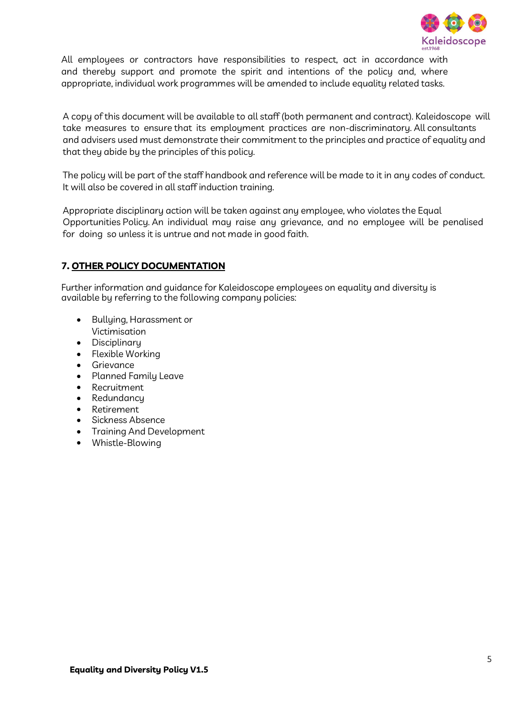

All employees or contractors have responsibilities to respect, act in accordance with and thereby support and promote the spirit and intentions of the policy and, where appropriate, individual work programmes will be amended to include equality related tasks.

A copy of this document will be available to all staff (both permanent and contract). Kaleidoscope will take measures to ensure that its employment practices are non-discriminatory. All consultants and advisers used must demonstrate their commitment to the principles and practice of equality and that they abide by the principles of this policy.

The policy will be part of the staff handbook and reference will be made to it in any codes of conduct. It will also be covered in all staff induction training.

Appropriate disciplinary action will be taken against any employee, who violates the Equal Opportunities Policy. An individual may raise any grievance, and no employee will be penalised for doing so unless it is untrue and not made in good faith.

# 7. OTHER POLICY DOCUMENTATION

Further information and guidance for Kaleidoscope employees on equality and diversity is available by referring to the following company policies:

- Bullying, Harassment or Victimisation
- **•** Disciplinary
- Flexible Working
- **•** Grievance
- Planned Family Leave
- Recruitment
- Redundancu
- Retirement
- Sickness Absence
- Training And Development
- Whistle-Blowing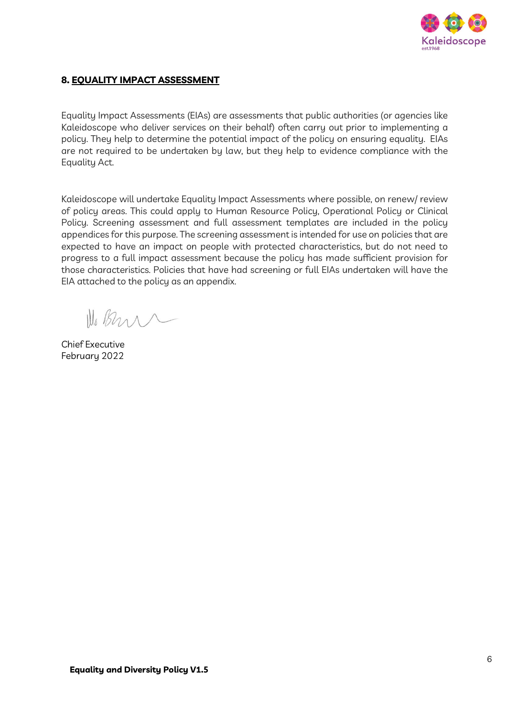

## 8. EQUALITY IMPACT ASSESSMENT

Equality Impact Assessments (EIAs) are assessments that public authorities (or agencies like Kaleidoscope who deliver services on their behalf) often carry out prior to implementing a policy. They help to determine the potential impact of the policy on ensuring equality. EIAs are not required to be undertaken by law, but they help to evidence compliance with the Equality Act.

Kaleidoscope will undertake Equality Impact Assessments where possible, on renew/ review of policy areas. This could apply to Human Resource Policy, Operational Policy or Clinical Policy. Screening assessment and full assessment templates are included in the policy appendices for this purpose. The screening assessment is intended for use on policies that are expected to have an impact on people with protected characteristics, but do not need to progress to a full impact assessment because the policy has made sufficient provision for those characteristics. Policies that have had screening or full EIAs undertaken will have the EIA attached to the policy as an appendix.

Il Bens

Chief Executive February 2022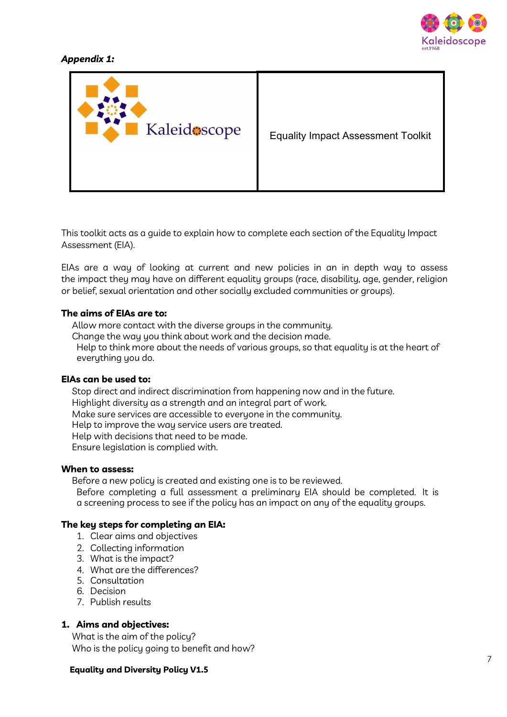

# Appendix 1:



This toolkit acts as a guide to explain how to complete each section of the Equality Impact Assessment (EIA).

EIAs are a way of looking at current and new policies in an in depth way to assess the impact they may have on different equality groups (race, disability, age, gender, religion or belief, sexual orientation and other socially excluded communities or groups).

#### The aims of EIAs are to:

 Allow more contact with the diverse groups in the community. Change the way you think about work and the decision made. Help to think more about the needs of various groups, so that equality is at the heart of everything you do.

#### EIAs can be used to:

 Stop direct and indirect discrimination from happening now and in the future. Highlight diversity as a strength and an integral part of work. Make sure services are accessible to everyone in the community. Help to improve the way service users are treated. Help with decisions that need to be made. Ensure legislation is complied with.

#### When to assess:

 Before a new policy is created and existing one is to be reviewed. Before completing a full assessment a preliminary EIA should be completed. It is a screening process to see if the policy has an impact on any of the equality groups.

#### The key steps for completing an EIA:

- 1. Clear aims and objectives
- 2. Collecting information
- 3. What is the impact?
- 4. What are the differences?
- 5. Consultation
- 6. Decision
- 7. Publish results

## 1. Aims and objectives:

 What is the aim of the policy? Who is the policy going to benefit and how?

#### Equality and Diversity Policy V1.5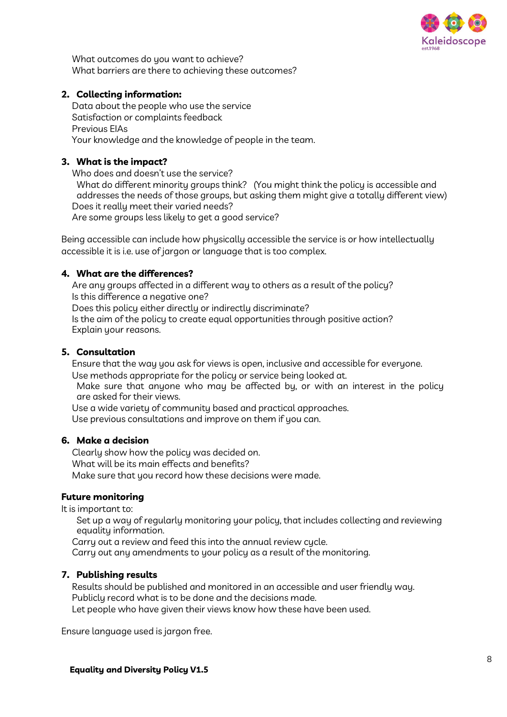

 What outcomes do you want to achieve? What barriers are there to achieving these outcomes?

## 2. Collecting information:

 Data about the people who use the service Satisfaction or complaints feedback Previous EIAs Your knowledge and the knowledge of people in the team.

## 3. What is the impact?

 Who does and doesn't use the service? What do different minority groups think? (You might think the policy is accessible and

addresses the needs of those groups, but asking them might give a totally different view) Does it really meet their varied needs?

Are some groups less likely to get a good service?

Being accessible can include how physically accessible the service is or how intellectually accessible it is i.e. use of jargon or language that is too complex.

## 4. What are the differences?

 Are any groups affected in a different way to others as a result of the policy? Is this difference a negative one?

Does this policy either directly or indirectly discriminate?

 Is the aim of the policy to create equal opportunities through positive action? Explain your reasons.

## 5. Consultation

 Ensure that the way you ask for views is open, inclusive and accessible for everyone. Use methods appropriate for the policy or service being looked at.

 Make sure that anyone who may be affected by, or with an interest in the policy are asked for their views.

Use a wide variety of community based and practical approaches.

Use previous consultations and improve on them if you can.

## 6. Make a decision

 Clearly show how the policy was decided on. What will be its main effects and benefits? Make sure that you record how these decisions were made.

## Future monitoring

It is important to:

 Set up a way of regularly monitoring your policy, that includes collecting and reviewing equality information.

Carry out a review and feed this into the annual review cycle.

Carry out any amendments to your policy as a result of the monitoring.

## 7. Publishing results

 Results should be published and monitored in an accessible and user friendly way. Publicly record what is to be done and the decisions made.

Let people who have given their views know how these have been used.

Ensure language used is jargon free.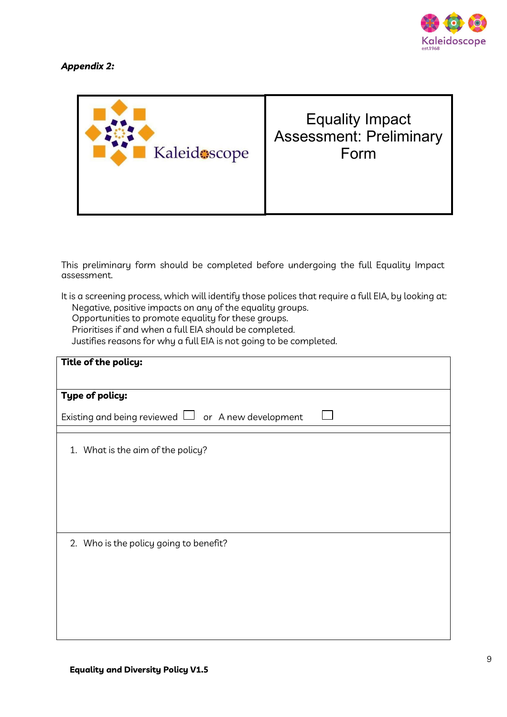

# Appendix 2:



This preliminary form should be completed before undergoing the full Equality Impact assessment.

It is a screening process, which will identify those polices that require a full EIA, by looking at: Negative, positive impacts on any of the equality groups.

Opportunities to promote equality for these groups.

Prioritises if and when a full EIA should be completed.

Justifies reasons for why a full EIA is not going to be completed.

| Title of the policy:                                    |  |
|---------------------------------------------------------|--|
| Type of policy:                                         |  |
| Existing and being reviewed $\Box$ or A new development |  |
| 1. What is the aim of the policy?                       |  |
| 2. Who is the policy going to benefit?                  |  |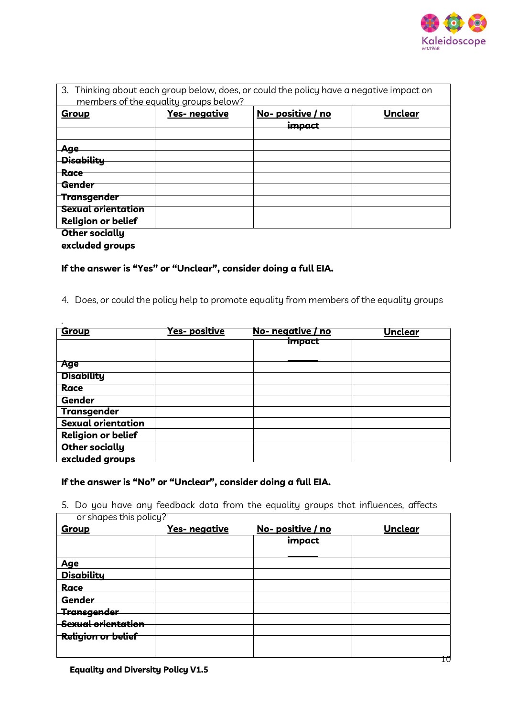

٦

|                           |                                       | 3. Thinking about each group below, does, or could the policy have a negative impact on |                |
|---------------------------|---------------------------------------|-----------------------------------------------------------------------------------------|----------------|
|                           | members of the equality groups below? |                                                                                         |                |
| Group                     | <b>Yes-</b> negative                  | <u>No-positive / no</u><br>imnact                                                       | <b>Unclear</b> |
|                           |                                       |                                                                                         |                |
| Age                       |                                       |                                                                                         |                |
| <b>Disability</b>         |                                       |                                                                                         |                |
| <del>Race</del>           |                                       |                                                                                         |                |
| Gender                    |                                       |                                                                                         |                |
|                           |                                       |                                                                                         |                |
| <b>Transgender</b>        |                                       |                                                                                         |                |
| <b>Sexual orientation</b> |                                       |                                                                                         |                |
| <b>Religion or belief</b> |                                       |                                                                                         |                |
| <b>Other socially</b>     |                                       |                                                                                         |                |

excluded groups

.

# If the answer is "Yes" or "Unclear", consider doing a full EIA.

4. Does, or could the policy help to promote equality from members of the equality groups

| <b>Group</b>              | <u>Yes- positive</u> | No- negative / no | Unclear |
|---------------------------|----------------------|-------------------|---------|
|                           |                      | impact            |         |
|                           |                      |                   |         |
| <b>Age</b>                |                      |                   |         |
| <b>Disability</b>         |                      |                   |         |
| Race                      |                      |                   |         |
| <b>Gender</b>             |                      |                   |         |
| <b>Transgender</b>        |                      |                   |         |
| Sexual orientation        |                      |                   |         |
| <b>Religion or belief</b> |                      |                   |         |
| <b>Other socially</b>     |                      |                   |         |
| excluded groups           |                      |                   |         |

# If the answer is "No" or "Unclear", consider doing a full EIA.

5. Do you have any feedback data from the equality groups that influences, affects or shapes this policy?  $\Box$ 

| Group                     | Yes- negative | No-positive / no | <b>Unclear</b> |
|---------------------------|---------------|------------------|----------------|
|                           |               | impact           |                |
| Age                       |               |                  |                |
| <b>Disability</b>         |               |                  |                |
| Race                      |               |                  |                |
| Gender                    |               |                  |                |
| <b>Transgender</b>        |               |                  |                |
| Sexual orientation        |               |                  |                |
| <b>Religion or belief</b> |               |                  |                |
|                           |               |                  |                |
|                           |               |                  | ΊÛ             |

Equality and Diversity Policy V1.5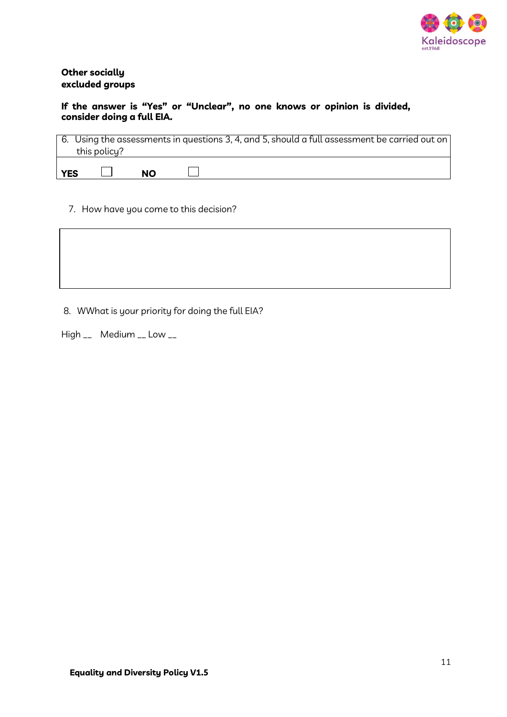

## Other socially excluded groups

## If the answer is "Yes" or "Unclear", no one knows or opinion is divided, consider doing a full EIA.

| 6. Using the assessments in questions 3, 4, and 5, should a full assessment be carried out on<br>this policy? |  |  |           |  |
|---------------------------------------------------------------------------------------------------------------|--|--|-----------|--|
| <b>YES</b>                                                                                                    |  |  | <b>NO</b> |  |

7. How have you come to this decision?

8. WWhat is your priority for doing the full EIA?

High \_\_ Medium \_\_ Low \_\_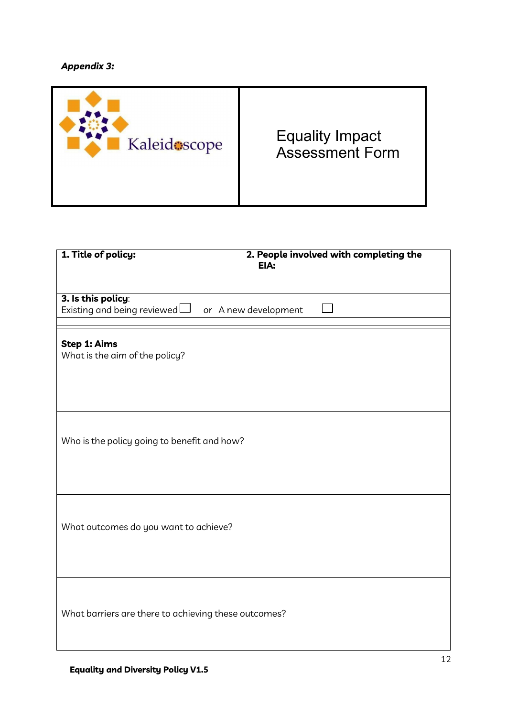# Appendix 3:

| Kaleidescope | <b>Equality Impact</b><br><b>Assessment Form</b> |
|--------------|--------------------------------------------------|
|--------------|--------------------------------------------------|

| 1. Title of policy:                                  | 2. People involved with completing the<br>EIA: |
|------------------------------------------------------|------------------------------------------------|
|                                                      |                                                |
| 3. Is this policy:<br>Existing and being reviewed    | or A new development                           |
|                                                      |                                                |
| Step 1: Aims                                         |                                                |
| What is the aim of the policy?                       |                                                |
|                                                      |                                                |
|                                                      |                                                |
|                                                      |                                                |
| Who is the policy going to benefit and how?          |                                                |
|                                                      |                                                |
|                                                      |                                                |
|                                                      |                                                |
|                                                      |                                                |
| What outcomes do you want to achieve?                |                                                |
|                                                      |                                                |
|                                                      |                                                |
|                                                      |                                                |
| What barriers are there to achieving these outcomes? |                                                |
|                                                      |                                                |
|                                                      |                                                |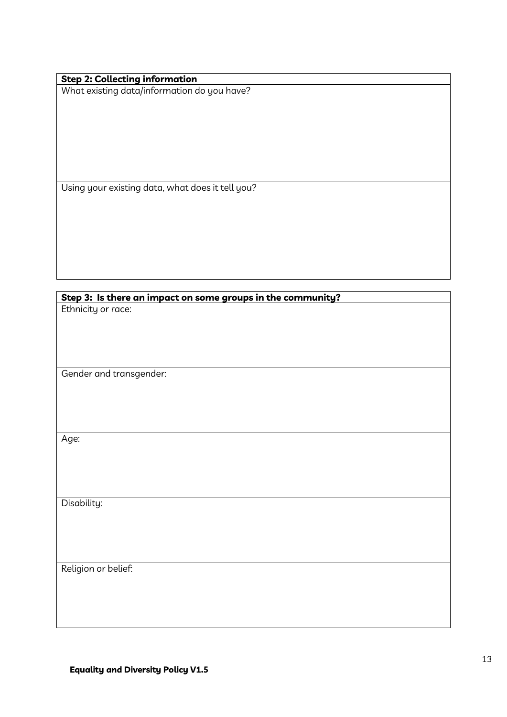| <b>Step 2: Collecting information</b> |                                             |
|---------------------------------------|---------------------------------------------|
|                                       | What existing data/information do you have? |

Using your existing data, what does it tell you?

| Step 3: Is there an impact on some groups in the community? |
|-------------------------------------------------------------|
| Ethnicity or race:                                          |
|                                                             |
|                                                             |
|                                                             |
|                                                             |
| Gender and transgender:                                     |
|                                                             |
|                                                             |
|                                                             |
|                                                             |
| Age:                                                        |
|                                                             |
|                                                             |
|                                                             |
|                                                             |
| Disability:                                                 |
|                                                             |
|                                                             |
|                                                             |
|                                                             |
| Religion or belief:                                         |
|                                                             |
|                                                             |
|                                                             |
|                                                             |
|                                                             |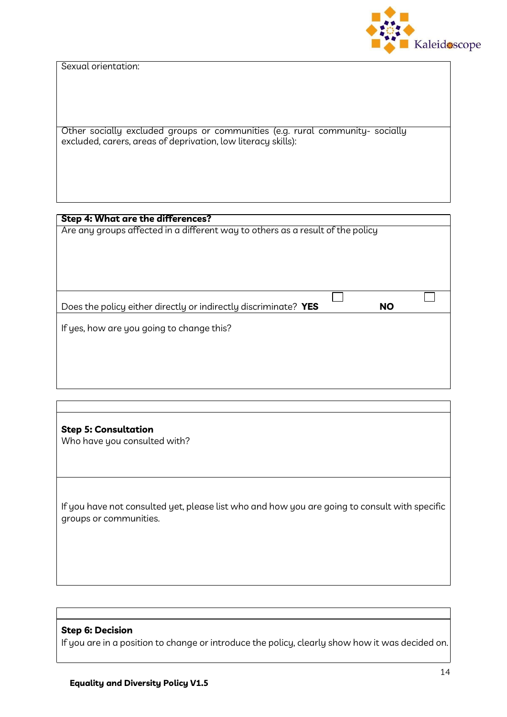Kaleidoscope

Sexual orientation:

Other socially excluded groups or communities (e.g. rural community- socially excluded, carers, areas of deprivation, low literacy skills):

## Step 4: What are the differences?

Are any groups affected in a different way to others as a result of the policy

Does the policy either directly or indirectly discriminate? **YES** NO

If yes, how are you going to change this?

Step 5: Consultation Who have you consulted with?

If you have not consulted yet, please list who and how you are going to consult with specific groups or communities.

## Step 6: Decision

If you are in a position to change or introduce the policy, clearly show how it was decided on.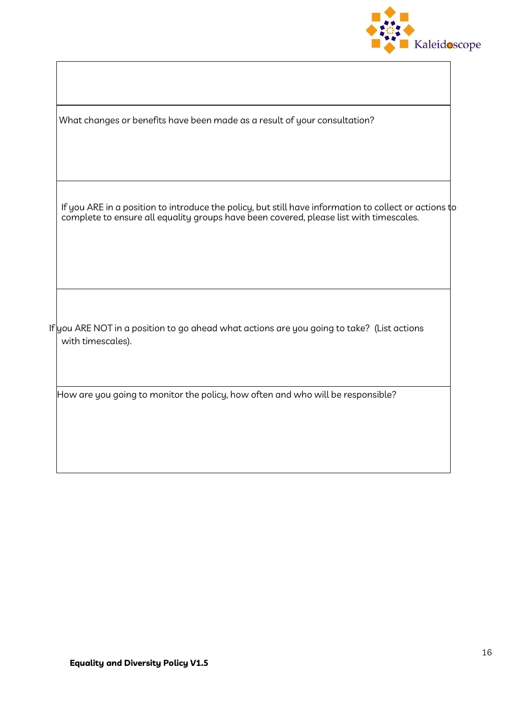

What changes or benefits have been made as a result of your consultation?

If you ARE in a position to introduce the policy, but still have information to collect or actions to complete to ensure all equality groups have been covered, please list with timescales.

If you ARE NOT in a position to go ahead what actions are you going to take? (List actions with timescales).

How are you going to monitor the policy, how often and who will be responsible?